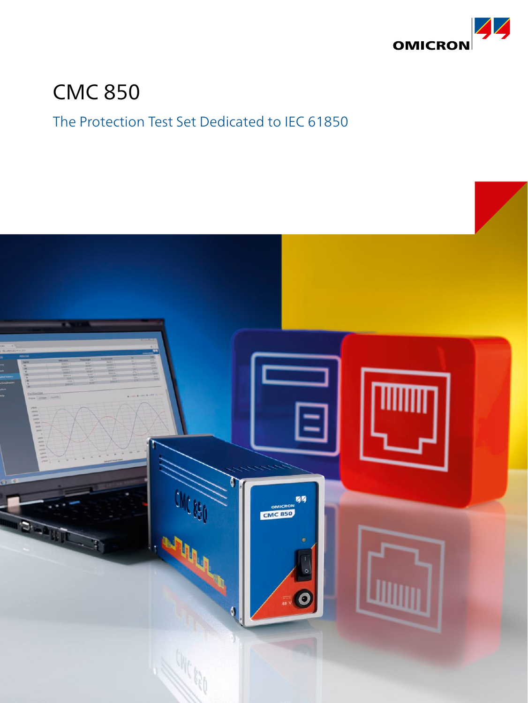

# CMC 850

### The Protection Test Set Dedicated to IEC 61850

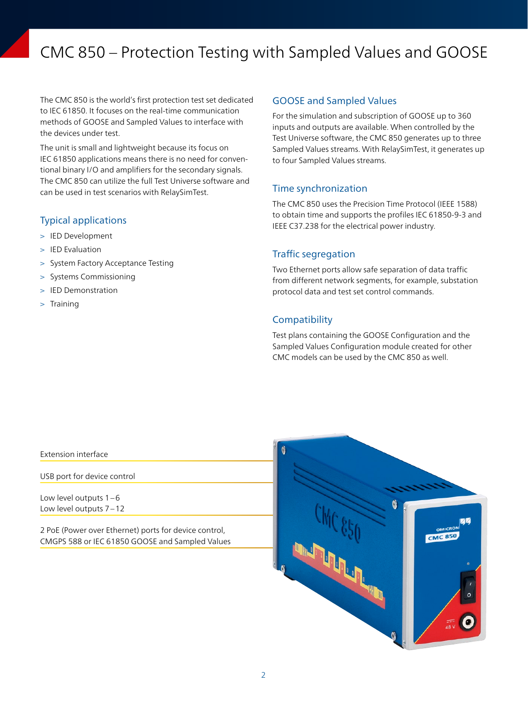## CMC 850 – Protection Testing with Sampled Values and GOOSE

The CMC 850 is the world's first protection test set dedicated to IEC 61850. It focuses on the real-time communication methods of GOOSE and Sampled Values to interface with the devices under test.

The unit is small and lightweight because its focus on IEC 61850 applications means there is no need for conventional binary I/O and amplifiers for the secondary signals. The CMC 850 can utilize the full Test Universe software and can be used in test scenarios with RelaySimTest.

#### Typical applications

- > IED Development
- > IED Evaluation
- > System Factory Acceptance Testing
- > Systems Commissioning
- > IED Demonstration
- > Training

#### GOOSE and Sampled Values

For the simulation and subscription of GOOSE up to 360 inputs and outputs are available. When controlled by the Test Universe software, the CMC 850 generates up to three Sampled Values streams. With RelaySimTest, it generates up to four Sampled Values streams.

#### Time synchronization

The CMC 850 uses the Precision Time Protocol (IEEE 1588) to obtain time and supports the profiles IEC 61850-9-3 and IEEE C37.238 for the electrical power industry.

#### Traffic segregation

Two Ethernet ports allow safe separation of data traffic from different network segments, for example, substation protocol data and test set control commands.

#### **Compatibility**

Test plans containing the GOOSE Configuration and the Sampled Values Configuration module created for other CMC models can be used by the CMC 850 as well.

#### Extension interface

USB port for device control

Low level outputs 1–6 Low level outputs 7–12

2 PoE (Power over Ethernet) ports for device control, CMGPS 588 or IEC 61850 GOOSE and Sampled Values

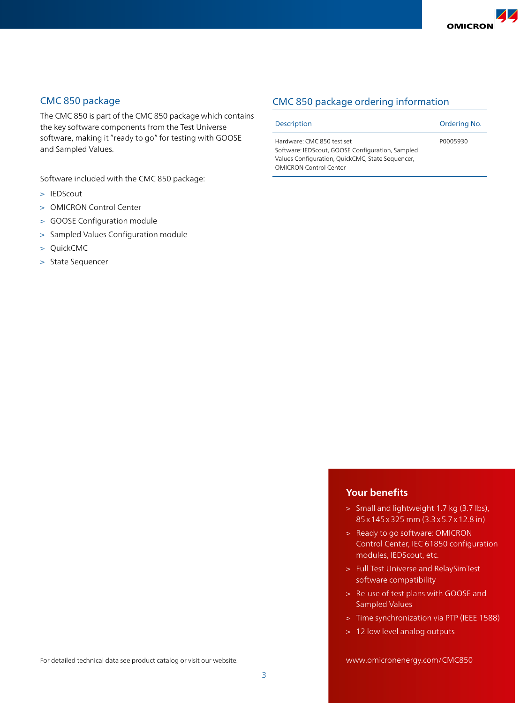

#### CMC 850 package

The CMC 850 is part of the CMC 850 package which contains the key software components from the Test Universe software, making it "ready to go" for testing with GOOSE and Sampled Values.

Software included with the CMC 850 package:

- > IEDScout
- > OMICRON Control Center
- > GOOSE Configuration module
- > Sampled Values Configuration module
- > QuickCMC
- > State Sequencer

### CMC 850 package ordering information

| <b>Description</b>                                                                                                                                           | Ordering No. |
|--------------------------------------------------------------------------------------------------------------------------------------------------------------|--------------|
| Hardware: CMC 850 test set<br>Software: IEDScout, GOOSE Configuration, Sampled<br>Values Configuration, QuickCMC, State Sequencer,<br>OMICRON Control Center | P0005930     |

#### **Your benefits**

- > Small and lightweight 1.7 kg (3.7 lbs), 85x145x325 mm (3.3x5.7x12.8 in)
- > Ready to go software: OMICRON Control Center, IEC 61850 configuration modules, IEDScout, etc.
- > Full Test Universe and RelaySimTest software compatibility
- > Re-use of test plans with GOOSE and Sampled Values
- > Time synchronization via PTP (IEEE 1588)
- > 12 low level analog outputs

www.omicronenergy.com/CMC850

For detailed technical data see product catalog or visit our website.